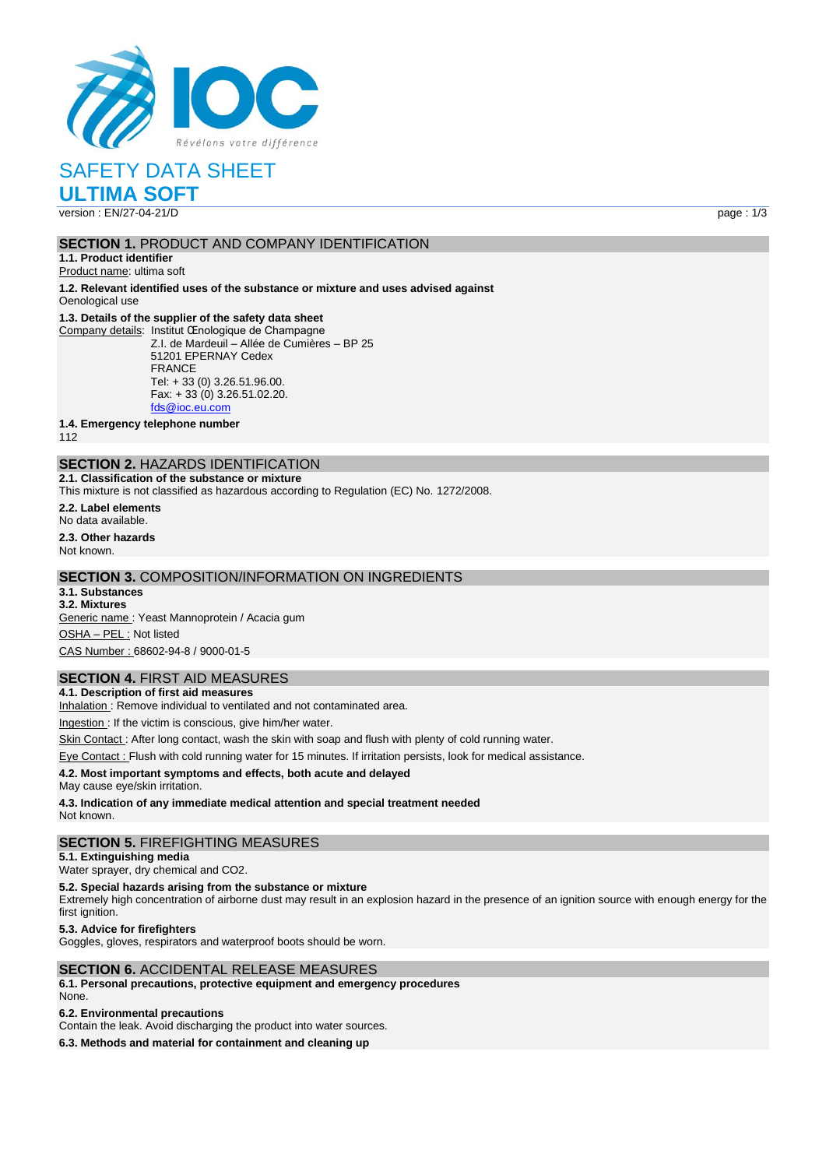

SAFETY DATA SHEET

**ULTIMA SOFT**

version : EN/27-04-21/D page : 1/3

## **SECTION 1. PRODUCT AND COMPANY IDENTIFICATION**

**1.1. Product identifier**

Product name: ultima soft

**1.2. Relevant identified uses of the substance or mixture and uses advised against** Oenological use

#### **1.3. Details of the supplier of the safety data sheet**

Company details: Institut Œnologique de Champagne Z.I. de Mardeuil – Allée de Cumières – BP 25 51201 EPERNAY Cedex FRANCE Tel: + 33 (0) 3.26.51.96.00. Fax: + 33 (0) 3.26.51.02.20. [fds@ioc.eu.com](mailto:fds@ioc.eu.com)

**1.4. Emergency telephone number**

112

# **SECTION 2.** HAZARDS IDENTIFICATION

**2.1. Classification of the substance or mixture** This mixture is not classified as hazardous according to Regulation (EC) No. 1272/2008.

**2.2. Label elements** No data available. **2.3. Other hazards**

Not known.

# **SECTION 3.** COMPOSITION/INFORMATION ON INGREDIENTS

**3.1. Substances 3.2. Mixtures** Generic name : Yeast Mannoprotein / Acacia gum OSHA – PEL : Not listed CAS Number : 68602-94-8 / 9000-01-5

# **SECTION 4.** FIRST AID MEASURES

#### **4.1. Description of first aid measures**

Inhalation: Remove individual to ventilated and not contaminated area.

Ingestion : If the victim is conscious, give him/her water.

Skin Contact : After long contact, wash the skin with soap and flush with plenty of cold running water.

Eye Contact : Flush with cold running water for 15 minutes. If irritation persists, look for medical assistance.

#### **4.2. Most important symptoms and effects, both acute and delayed**

May cause eye/skin irritation.

**4.3. Indication of any immediate medical attention and special treatment needed**

Not known.

# **SECTION 5.** FIREFIGHTING MEASURES

# **5.1. Extinguishing media**

Water sprayer, dry chemical and CO2.

**5.2. Special hazards arising from the substance or mixture**

Extremely high concentration of airborne dust may result in an explosion hazard in the presence of an ignition source with enough energy for the first ignition.

**5.3. Advice for firefighters**

Goggles, gloves, respirators and waterproof boots should be worn.

#### **SECTION 6.** ACCIDENTAL RELEASE MEASURES

**6.1. Personal precautions, protective equipment and emergency procedures** None.

**6.2. Environmental precautions**

Contain the leak. Avoid discharging the product into water sources.

**6.3. Methods and material for containment and cleaning up**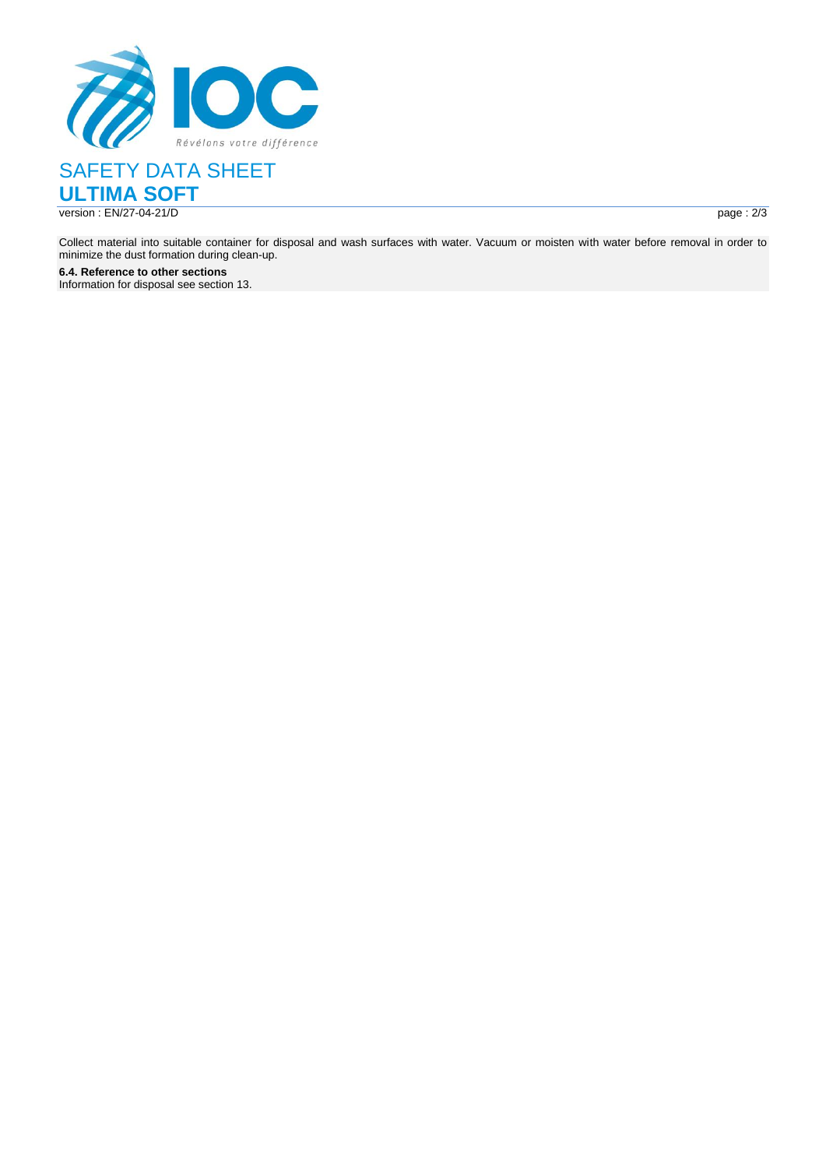

SAFETY DATA SHEET **ULTIMA SOFT** version : EN/27-04-21/D page : 2/3

Collect material into suitable container for disposal and wash surfaces with water. Vacuum or moisten with water before removal in order to minimize the dust formation during clean-up.

**6.4. Reference to other sections**

Information for disposal see section 13.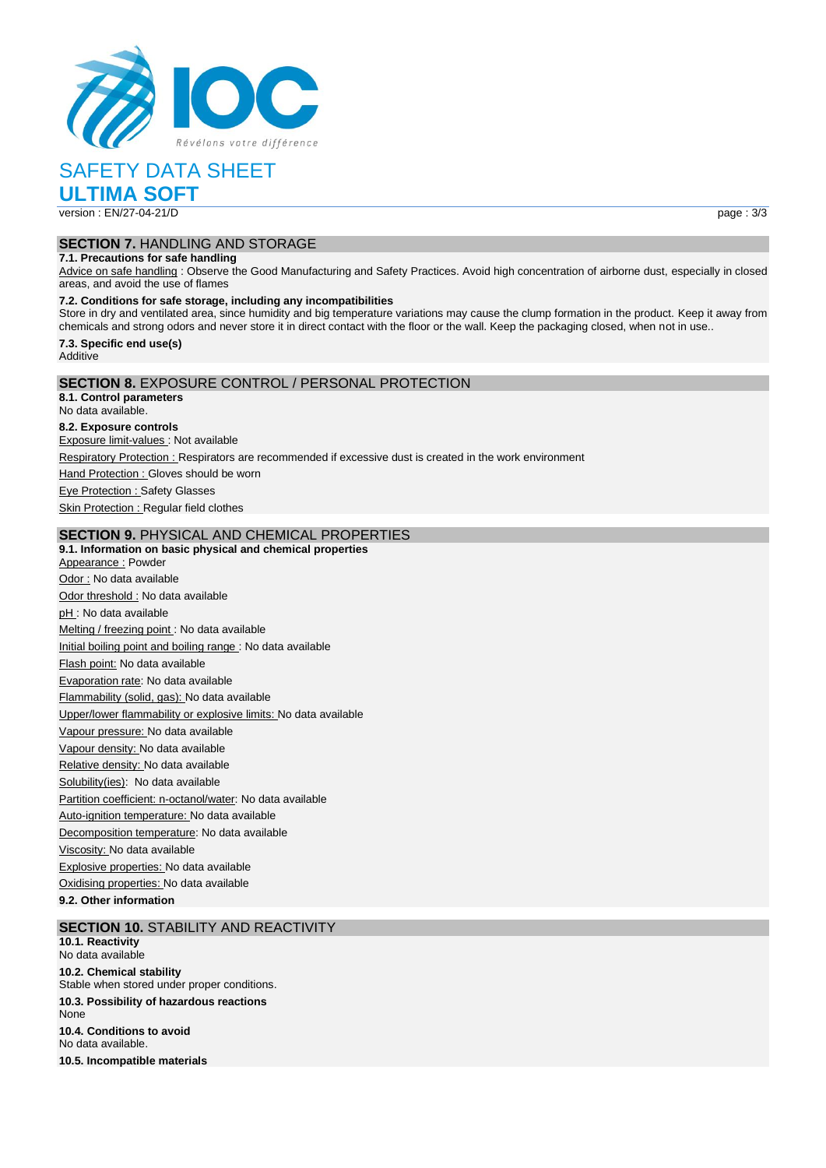

# SAFETY DATA SHEET

**ULTIMA SOFT**

version : EN/27-04-21/D page : 3/3

# **SECTION 7.** HANDLING AND STORAGE

# **7.1. Precautions for safe handling**

Advice on safe handling : Observe the Good Manufacturing and Safety Practices. Avoid high concentration of airborne dust, especially in closed areas, and avoid the use of flames

#### **7.2. Conditions for safe storage, including any incompatibilities**

Store in dry and ventilated area, since humidity and big temperature variations may cause the clump formation in the product. Keep it away from chemicals and strong odors and never store it in direct contact with the floor or the wall. Keep the packaging closed, when not in use.. **7.3. Specific end use(s)**

# Additive

### **SECTION 8.** EXPOSURE CONTROL / PERSONAL PROTECTION

**8.1. Control parameters** No data available. **8.2. Exposure controls**

#### Exposure limit-values : Not available

Respiratory Protection : Respirators are recommended if excessive dust is created in the work environment

**Hand Protection : Gloves should be worn** 

Eye Protection : Safety Glasses **Skin Protection : Regular field clothes** 

#### **SECTION 9.** PHYSICAL AND CHEMICAL PROPERTIES **9.1. Information on basic physical and chemical properties**

Appearance : Powder Odor : No data available Odor threshold : No data available pH : No data available Melting / freezing point : No data available Initial boiling point and boiling range : No data available Flash point: No data available Evaporation rate: No data available Flammability (solid, gas): No data available Upper/lower flammability or explosive limits: No data available Vapour pressure: No data available Vapour density: No data available Relative density: No data available Solubility(ies): No data available Partition coefficient: n-octanol/water: No data available Auto-ignition temperature: No data available Decomposition temperature: No data available Viscosity: No data available Explosive properties: No data available Oxidising properties: No data available

# **9.2. Other information**

#### **SECTION 10.** STABILITY AND REACTIVITY

**10.1. Reactivity** No data available **10.2. Chemical stability** Stable when stored under proper conditions. **10.3. Possibility of hazardous reactions** None **10.4. Conditions to avoid** No data available. **10.5. Incompatible materials**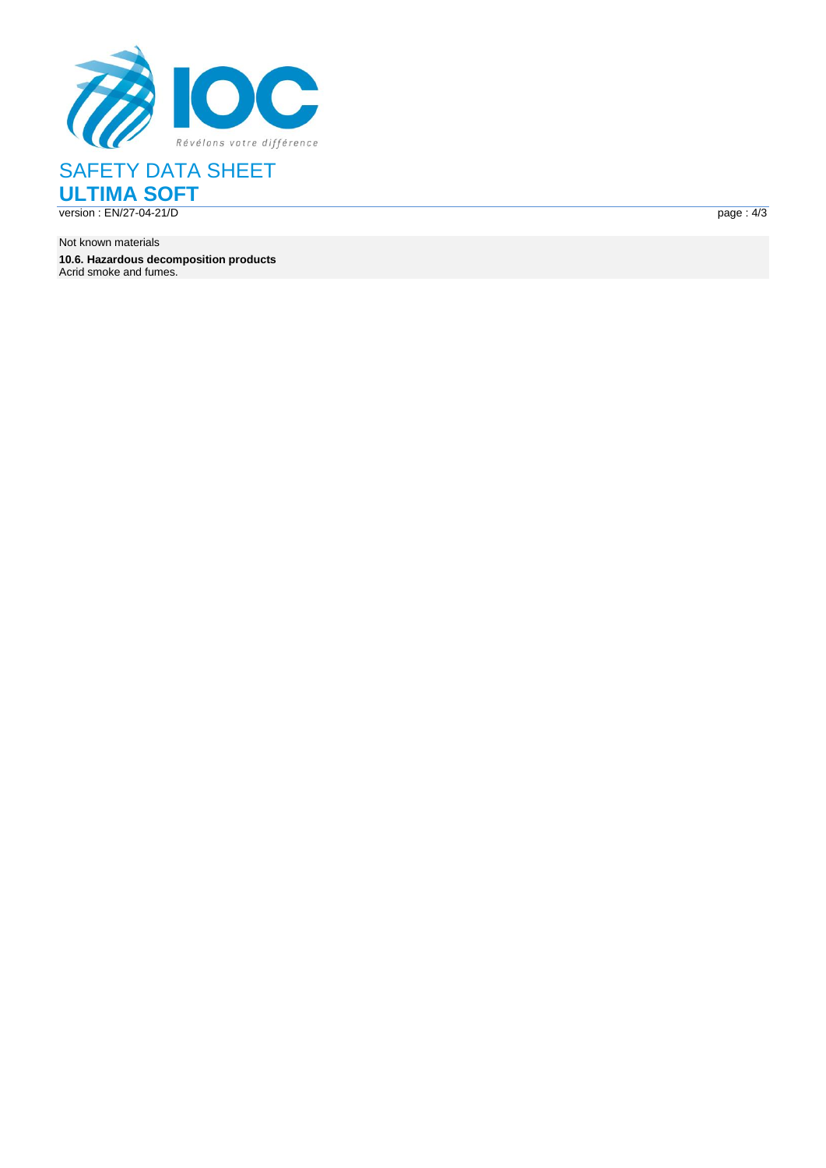

SAFETY DATA SHEET **ULTIMA SOFT** version : EN/27-04-21/ D page : the contract of the contract of the contract of the contract of the contract of the contract of the contract of the contract of the contract of the contract of the contract of the contract of the contract of the c

Not known materials **10.6. Hazardous decomposition products** Acrid smoke and fumes .

 $page: 4/3$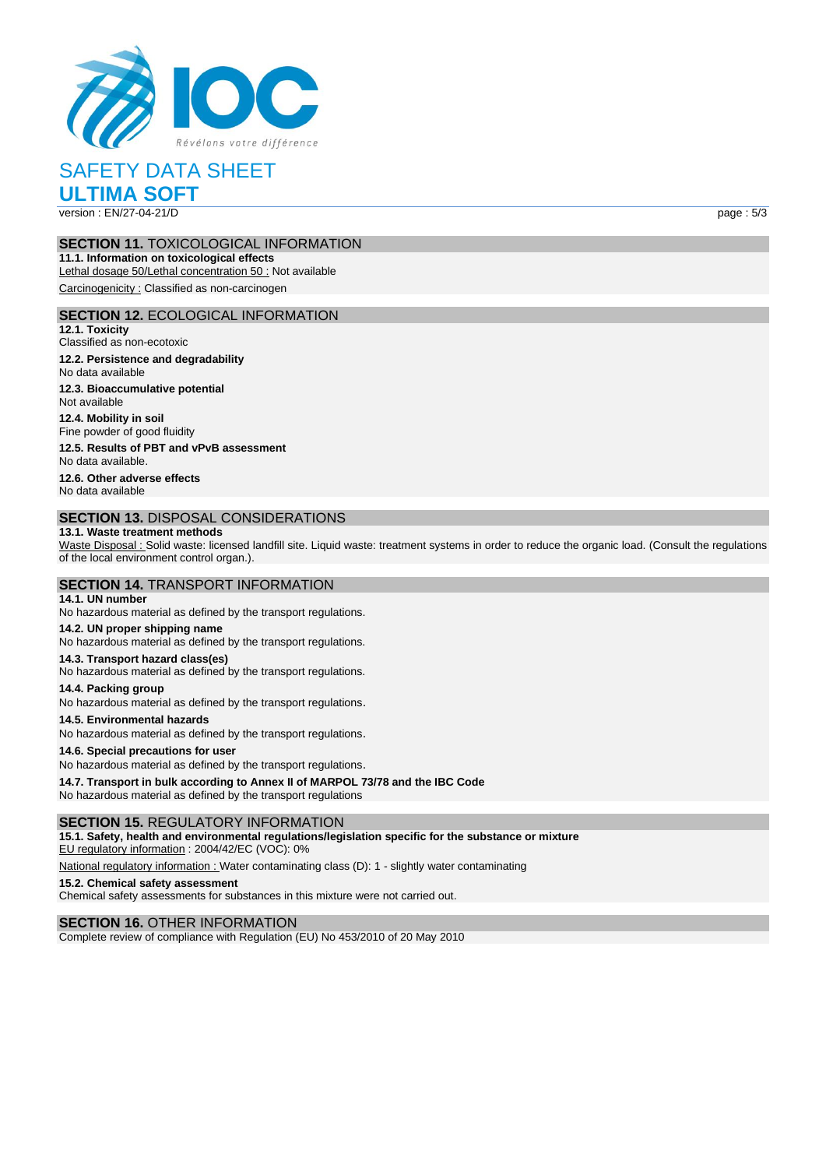

SAFETY DATA SHEET

**ULTIMA SOFT**

version : EN/27-04-21/D page : 5/3

# **SECTION 11.** TOXICOLOGICAL INFORMATION

**11.1. Information on toxicological effects** Lethal dosage 50/Lethal concentration 50 : Not available Carcinogenicity : Classified as non-carcinogen

# **SECTION 12.** ECOLOGICAL INFORMATION

**12.1. Toxicity** Classified as non-ecotoxic **12.2. Persistence and degradability** No data available **12.3. Bioaccumulative potential** Not available **12.4. Mobility in soil** Fine powder of good fluidity **12.5. Results of PBT and vPvB assessment** No data available.

**12.6. Other adverse effects** No data available

# **SECTION 13.** DISPOSAL CONSIDERATIONS

#### **13.1. Waste treatment methods**

Waste Disposal : Solid waste: licensed landfill site. Liquid waste: treatment systems in order to reduce the organic load. (Consult the regulations of the local environment control organ.).

# **SECTION 14.** TRANSPORT INFORMATION

#### **14.1. UN number**

No hazardous material as defined by the transport regulations.

**14.2. UN proper shipping name**

No hazardous material as defined by the transport regulations.

#### **14.3. Transport hazard class(es)**

No hazardous material as defined by the transport regulations.

#### **14.4. Packing group**

No hazardous material as defined by the transport regulations.

#### **14.5. Environmental hazards**

No hazardous material as defined by the transport regulations.

#### **14.6. Special precautions for user**

No hazardous material as defined by the transport regulations.

**14.7. Transport in bulk according to Annex II of MARPOL 73/78 and the IBC Code**

No hazardous material as defined by the transport regulations

#### **SECTION 15.** REGULATORY INFORMATION

**15.1. Safety, health and environmental regulations/legislation specific for the substance or mixture** EU regulatory information : 2004/42/EC (VOC): 0%

National regulatory information : Water contaminating class (D): 1 - slightly water contaminating

**15.2. Chemical safety assessment**

Chemical safety assessments for substances in this mixture were not carried out.

#### **SECTION 16.** OTHER INFORMATION

Complete review of compliance with Regulation (EU) No 453/2010 of 20 May 2010